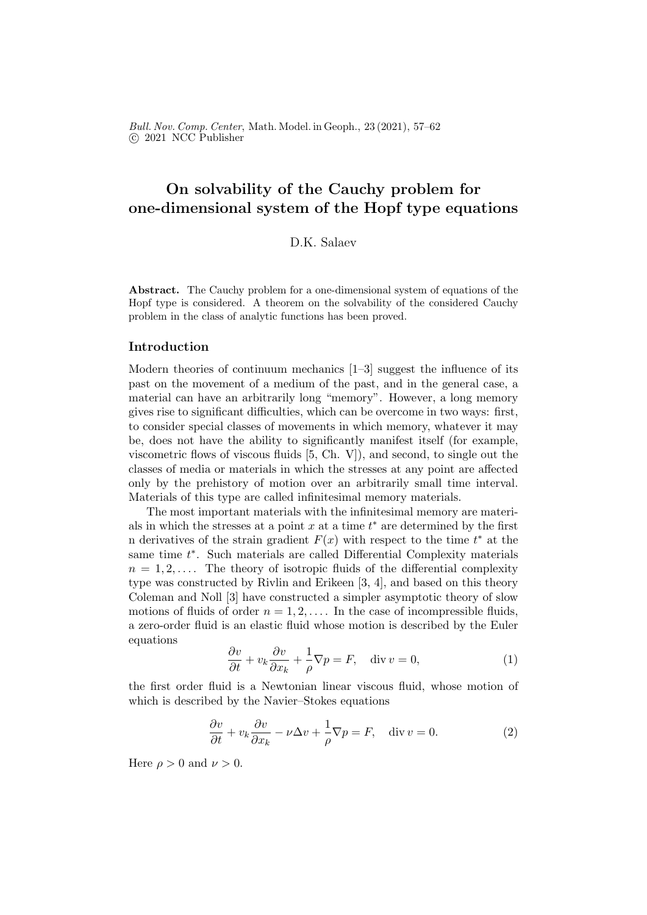Bull. Nov. Comp. Center, Math. Model. in Geoph., 23 (2021), 57–62 c 2021 NCC Publisher

# On solvability of the Cauchy problem for one-dimensional system of the Hopf type equations

## D.K. Salaev

Abstract. The Cauchy problem for a one-dimensional system of equations of the Hopf type is considered. A theorem on the solvability of the considered Cauchy problem in the class of analytic functions has been proved.

## Introduction

Modern theories of continuum mechanics [1–3] suggest the influence of its past on the movement of a medium of the past, and in the general case, a material can have an arbitrarily long "memory". However, a long memory gives rise to significant difficulties, which can be overcome in two ways: first, to consider special classes of movements in which memory, whatever it may be, does not have the ability to significantly manifest itself (for example, viscometric flows of viscous fluids [5, Ch. V]), and second, to single out the classes of media or materials in which the stresses at any point are affected only by the prehistory of motion over an arbitrarily small time interval. Materials of this type are called infinitesimal memory materials.

The most important materials with the infinitesimal memory are materials in which the stresses at a point  $x$  at a time  $t^*$  are determined by the first n derivatives of the strain gradient  $F(x)$  with respect to the time  $t^*$  at the same time  $t^*$ . Such materials are called Differential Complexity materials  $n = 1, 2, \ldots$ . The theory of isotropic fluids of the differential complexity type was constructed by Rivlin and Erikeen [3, 4], and based on this theory Coleman and Noll [3] have constructed a simpler asymptotic theory of slow motions of fluids of order  $n = 1, 2, \ldots$  In the case of incompressible fluids, a zero-order fluid is an elastic fluid whose motion is described by the Euler equations

$$
\frac{\partial v}{\partial t} + v_k \frac{\partial v}{\partial x_k} + \frac{1}{\rho} \nabla p = F, \quad \text{div } v = 0,
$$
\n(1)

the first order fluid is a Newtonian linear viscous fluid, whose motion of which is described by the Navier–Stokes equations

$$
\frac{\partial v}{\partial t} + v_k \frac{\partial v}{\partial x_k} - \nu \Delta v + \frac{1}{\rho} \nabla p = F, \quad \text{div } v = 0.
$$
 (2)

Here  $\rho > 0$  and  $\nu > 0$ .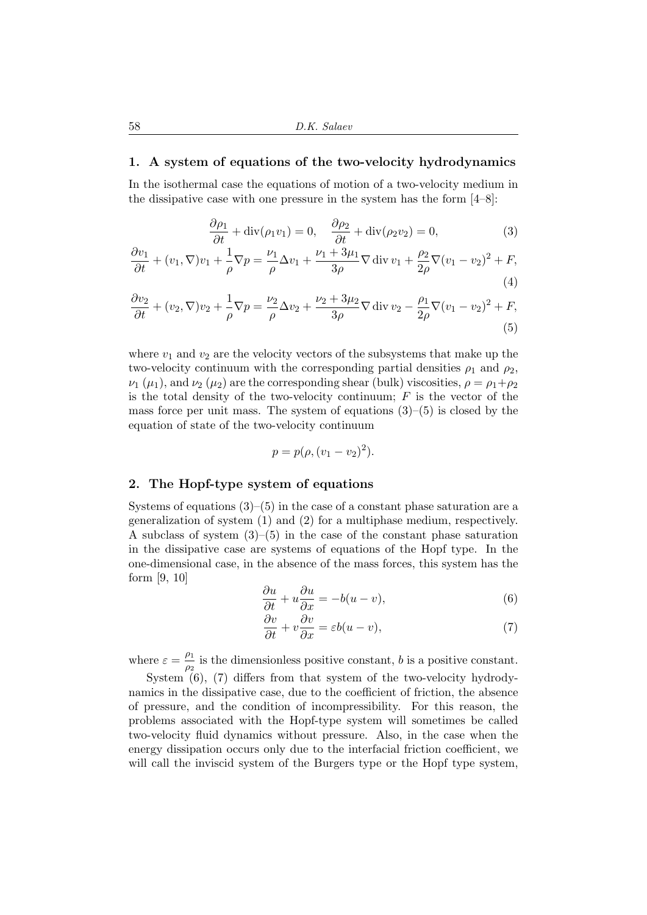## 1. A system of equations of the two-velocity hydrodynamics

In the isothermal case the equations of motion of a two-velocity medium in the dissipative case with one pressure in the system has the form  $[4–8]$ :

$$
\frac{\partial \rho_1}{\partial t} + \text{div}(\rho_1 v_1) = 0, \quad \frac{\partial \rho_2}{\partial t} + \text{div}(\rho_2 v_2) = 0,
$$
 (3)

$$
\frac{\partial v_1}{\partial t} + (v_1, \nabla)v_1 + \frac{1}{\rho}\nabla p = \frac{\nu_1}{\rho}\Delta v_1 + \frac{\nu_1 + 3\mu_1}{3\rho}\nabla \operatorname{div} v_1 + \frac{\rho_2}{2\rho}\nabla(v_1 - v_2)^2 + F,
$$
\n(4)

$$
\frac{\partial v_2}{\partial t} + (v_2, \nabla)v_2 + \frac{1}{\rho}\nabla p = \frac{\nu_2}{\rho}\Delta v_2 + \frac{\nu_2 + 3\mu_2}{3\rho}\nabla \operatorname{div} v_2 - \frac{\rho_1}{2\rho}\nabla(v_1 - v_2)^2 + F,
$$
\n(5)

where  $v_1$  and  $v_2$  are the velocity vectors of the subsystems that make up the two-velocity continuum with the corresponding partial densities  $\rho_1$  and  $\rho_2$ ,  $\nu_1$  ( $\mu_1$ ), and  $\nu_2$  ( $\mu_2$ ) are the corresponding shear (bulk) viscosities,  $\rho = \rho_1 + \rho_2$ is the total density of the two-velocity continuum;  $F$  is the vector of the mass force per unit mass. The system of equations  $(3)-(5)$  is closed by the equation of state of the two-velocity continuum

$$
p = p(\rho, (v_1 - v_2)^2).
$$

### 2. The Hopf-type system of equations

Systems of equations  $(3)$ – $(5)$  in the case of a constant phase saturation are a generalization of system (1) and (2) for a multiphase medium, respectively. A subclass of system  $(3)$ – $(5)$  in the case of the constant phase saturation in the dissipative case are systems of equations of the Hopf type. In the one-dimensional case, in the absence of the mass forces, this system has the form [9, 10]

$$
\frac{\partial u}{\partial t} + u \frac{\partial u}{\partial x} = -b(u - v),\tag{6}
$$

$$
\frac{\partial v}{\partial t} + v \frac{\partial v}{\partial x} = \varepsilon b(u - v),\tag{7}
$$

where  $\varepsilon = \frac{\rho_1}{\rho_2}$  $\frac{\rho_1}{\rho_2}$  is the dimensionless positive constant, b is a positive constant.

System (6), (7) differs from that system of the two-velocity hydrodynamics in the dissipative case, due to the coefficient of friction, the absence of pressure, and the condition of incompressibility. For this reason, the problems associated with the Hopf-type system will sometimes be called two-velocity fluid dynamics without pressure. Also, in the case when the energy dissipation occurs only due to the interfacial friction coefficient, we will call the inviscid system of the Burgers type or the Hopf type system,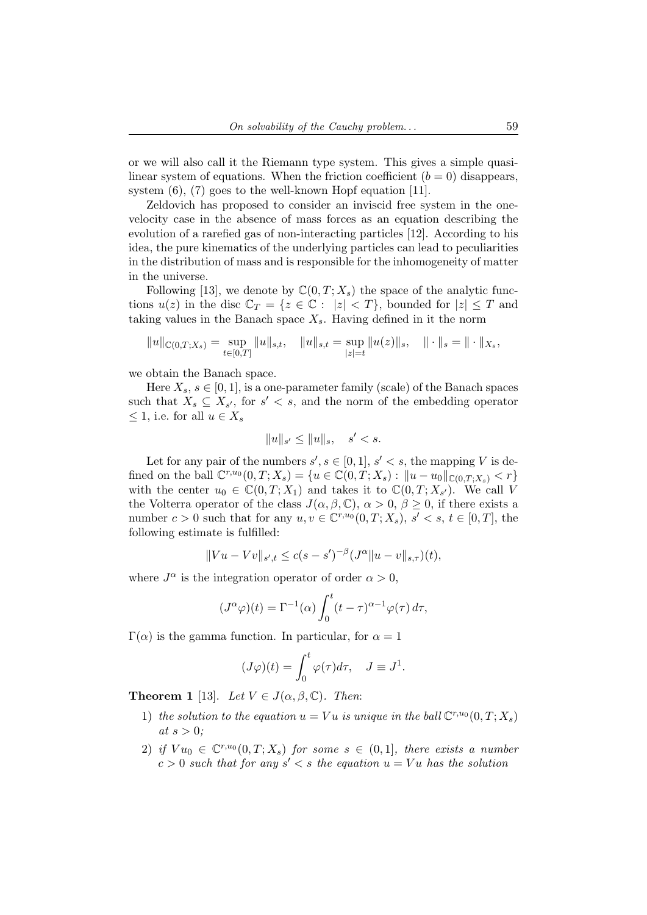or we will also call it the Riemann type system. This gives a simple quasilinear system of equations. When the friction coefficient  $(b = 0)$  disappears. system (6), (7) goes to the well-known Hopf equation [11].

Zeldovich has proposed to consider an inviscid free system in the onevelocity case in the absence of mass forces as an equation describing the evolution of a rarefied gas of non-interacting particles [12]. According to his idea, the pure kinematics of the underlying particles can lead to peculiarities in the distribution of mass and is responsible for the inhomogeneity of matter in the universe.

Following [13], we denote by  $\mathbb{C}(0,T;X_s)$  the space of the analytic functions  $u(z)$  in the disc  $\mathbb{C}_T = \{z \in \mathbb{C} : |z| < T\}$ , bounded for  $|z| \leq T$  and taking values in the Banach space  $X_s$ . Having defined in it the norm

$$
||u||_{\mathbb{C}(0,T;X_s)} = \sup_{t \in [0,T]} ||u||_{s,t}, \quad ||u||_{s,t} = \sup_{|z|=t} ||u(z)||_s, \quad ||\cdot||_s = ||\cdot||_{X_s},
$$

we obtain the Banach space.

Here  $X_s$ ,  $s \in [0, 1]$ , is a one-parameter family (scale) of the Banach spaces such that  $X_s \subseteq X_{s'}$ , for  $s' < s$ , and the norm of the embedding operator  $\leq 1$ , i.e. for all  $u \in X_s$ 

$$
||u||_{s'} \le ||u||_s, \quad s' < s.
$$

Let for any pair of the numbers  $s', s \in [0, 1], s' < s$ , the mapping V is defined on the ball  $\mathbb{C}^{r,u_0}(0,T;X_s) = \{u \in \mathbb{C}(0,T;X_s) : ||u - u_0||_{\mathbb{C}(0,T;X_s)} < r\}$ with the center  $u_0 \in \mathbb{C}(0,T;X_1)$  and takes it to  $\mathbb{C}(0,T;X_{s})$ . We call V the Volterra operator of the class  $J(\alpha, \beta, \mathbb{C}), \alpha > 0, \beta \geq 0$ , if there exists a number  $c > 0$  such that for any  $u, v \in \mathbb{C}^{r, u_0}(0,T; X_s), s' < s, t \in [0,T],$  the following estimate is fulfilled:

$$
||Vu - Vv||_{s',t} \le c(s - s')^{-\beta} (J^{\alpha} || u - v ||_{s,\tau})(t),
$$

where  $J^{\alpha}$  is the integration operator of order  $\alpha > 0$ ,

$$
(J^{\alpha}\varphi)(t) = \Gamma^{-1}(\alpha) \int_0^t (t-\tau)^{\alpha-1} \varphi(\tau) d\tau,
$$

 $\Gamma(\alpha)$  is the gamma function. In particular, for  $\alpha = 1$ 

$$
(J\varphi)(t) = \int_0^t \varphi(\tau)d\tau, \quad J \equiv J^1.
$$

**Theorem 1** [13]. Let  $V \in J(\alpha, \beta, \mathbb{C})$ . Then:

- 1) the solution to the equation  $u = Vu$  is unique in the ball  $\mathbb{C}^{r,u_0}(0,T;X_s)$ at  $s > 0$ ;
- 2) if  $Vu_0 \in \mathbb{C}^{r,u_0}(0,T;X_s)$  for some  $s \in (0,1]$ , there exists a number  $c > 0$  such that for any  $s' < s$  the equation  $u = Vu$  has the solution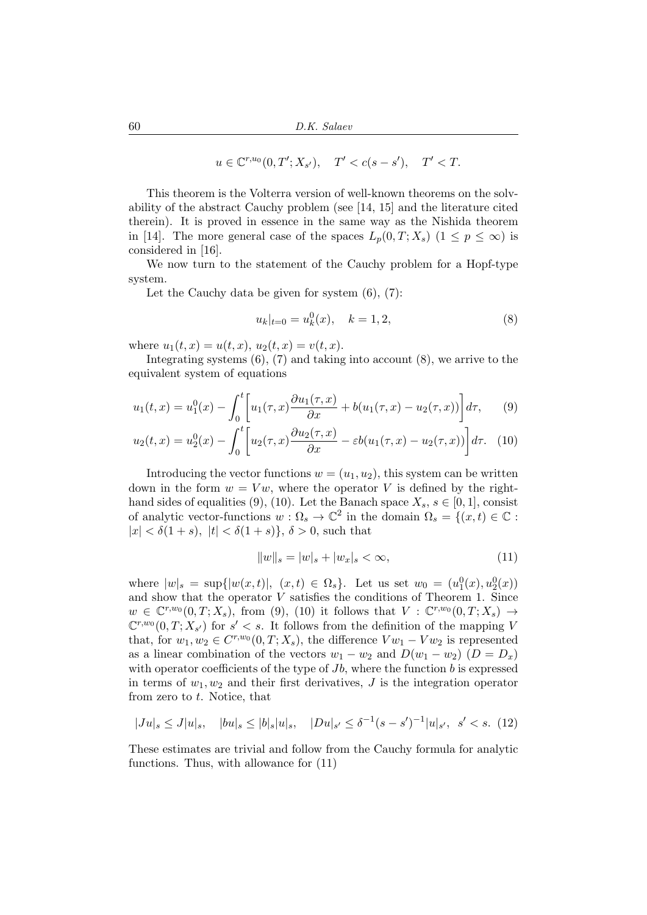$$
u \in \mathbb{C}^{r,u_0}(0,T';X_{s'}), \quad T' < c(s-s'), \quad T' < T.
$$

This theorem is the Volterra version of well-known theorems on the solvability of the abstract Cauchy problem (see [14, 15] and the literature cited therein). It is proved in essence in the same way as the Nishida theorem in [14]. The more general case of the spaces  $L_p(0,T;X_s)$   $(1 \leq p \leq \infty)$  is considered in [16].

We now turn to the statement of the Cauchy problem for a Hopf-type system.

Let the Cauchy data be given for system  $(6)$ ,  $(7)$ :

$$
u_k|_{t=0} = u_k^0(x), \quad k = 1, 2,
$$
\n(8)

where  $u_1(t, x) = u(t, x), u_2(t, x) = v(t, x)$ .

Integrating systems  $(6)$ ,  $(7)$  and taking into account  $(8)$ , we arrive to the equivalent system of equations

$$
u_1(t,x) = u_1^0(x) - \int_0^t \left[ u_1(\tau,x) \frac{\partial u_1(\tau,x)}{\partial x} + b(u_1(\tau,x) - u_2(\tau,x)) \right] d\tau, \qquad (9)
$$

$$
u_2(t,x) = u_2^0(x) - \int_0^t \left[ u_2(\tau, x) \frac{\partial u_2(\tau, x)}{\partial x} - \varepsilon b(u_1(\tau, x) - u_2(\tau, x)) \right] d\tau. \tag{10}
$$

Introducing the vector functions  $w = (u_1, u_2)$ , this system can be written down in the form  $w = Vw$ , where the operator V is defined by the righthand sides of equalities (9), (10). Let the Banach space  $X_s$ ,  $s \in [0,1]$ , consist of analytic vector-functions  $w: \Omega_s \to \mathbb{C}^2$  in the domain  $\Omega_s = \{(x, t) \in \mathbb{C} :$  $|x| < \delta(1+s)$ ,  $|t| < \delta(1+s)$ ,  $\delta > 0$ , such that

$$
||w||_s = |w|_s + |w_x|_s < \infty,
$$
\n(11)

where  $|w|_{s} = \sup\{|w(x,t)|, (x,t) \in \Omega_{s}\}.$  Let us set  $w_0 = (u_1^0(x), u_2^0(x))$ and show that the operator  $V$  satisfies the conditions of Theorem 1. Since  $w \in \mathbb{C}^{r,w_0}(0,T;X_s)$ , from (9), (10) it follows that  $V : \mathbb{C}^{r,w_0}(0,T;X_s) \to$  $\mathbb{C}^{r,w_0}(0,T;X_{s'})$  for  $s' < s$ . It follows from the definition of the mapping V that, for  $w_1, w_2 \in C^{r,w_0}(0,T;X_s)$ , the difference  $Vw_1 - Vw_2$  is represented as a linear combination of the vectors  $w_1 - w_2$  and  $D(w_1 - w_2)$  ( $D = D_x$ ) with operator coefficients of the type of  $Jb$ , where the function  $b$  is expressed in terms of  $w_1, w_2$  and their first derivatives, J is the integration operator from zero to  $t$ . Notice, that

$$
|Ju|_s \le J|u|_s, \quad |bu|_s \le |b|_s|u|_s, \quad |Du|_{s'} \le \delta^{-1}(s-s')^{-1}|u|_{s'}, \quad s' < s. \tag{12}
$$

These estimates are trivial and follow from the Cauchy formula for analytic functions. Thus, with allowance for (11)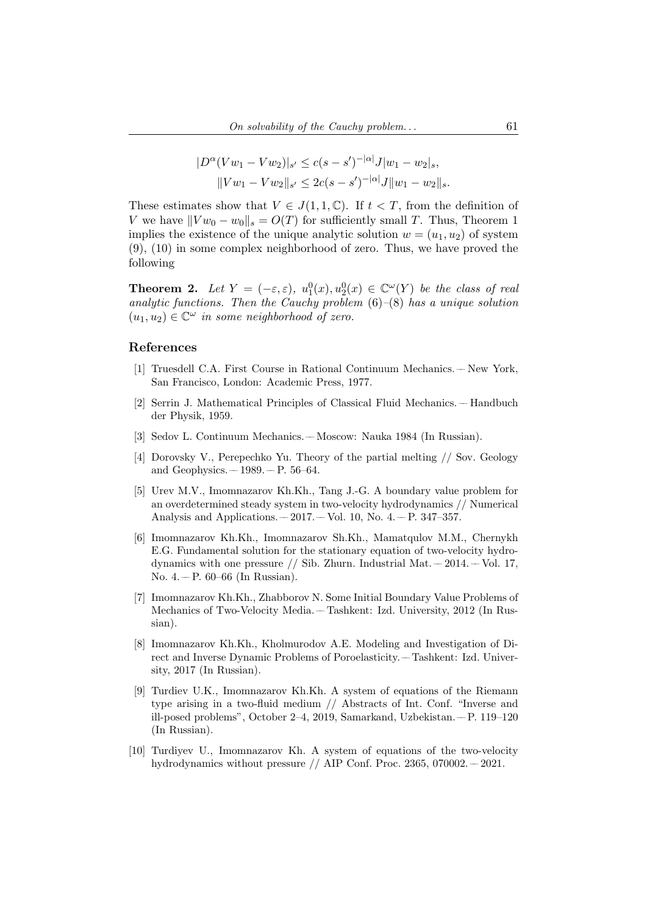$$
|D^{\alpha}(Vw_1 - Vw_2)|_{s'} \le c(s - s')^{-|\alpha|} J|w_1 - w_2|_s,
$$
  

$$
||Vw_1 - Vw_2||_{s'} \le 2c(s - s')^{-|\alpha|} J||w_1 - w_2||_s.
$$

These estimates show that  $V \in J(1,1,\mathbb{C})$ . If  $t < T$ , from the definition of V we have  $||V w_0 - w_0||_s = O(T)$  for sufficiently small T. Thus, Theorem 1 implies the existence of the unique analytic solution  $w = (u_1, u_2)$  of system (9), (10) in some complex neighborhood of zero. Thus, we have proved the following

**Theorem 2.** Let  $Y = (-\varepsilon, \varepsilon), u_1^0(x), u_2^0(x) \in \mathbb{C}^\omega(Y)$  be the class of real analytic functions. Then the Cauchy problem  $(6)-(8)$  has a unique solution  $(u_1, u_2) \in \mathbb{C}^{\omega}$  in some neighborhood of zero.

#### References

- [1] Truesdell C.A. First Course in Rational Continuum Mechanics. –– New York, San Francisco, London: Academic Press, 1977.
- [2] Serrin J. Mathematical Principles of Classical Fluid Mechanics. –– Handbuch der Physik, 1959.
- [3] Sedov L. Continuum Mechanics. –– Moscow: Nauka 1984 (In Russian).
- [4] Dorovsky V., Perepechko Yu. Theory of the partial melting // Sov. Geology and Geophysics.  $-1989. - P. 56-64.$
- [5] Urev M.V., Imomnazarov Kh.Kh., Tang J.-G. A boundary value problem for an overdetermined steady system in two-velocity hydrodynamics // Numerical Analysis and Applications.  $-2017. -$  Vol. 10, No. 4.  $-$  P. 347–357.
- [6] Imomnazarov Kh.Kh., Imomnazarov Sh.Kh., Mamatqulov M.M., Chernykh E.G. Fundamental solution for the stationary equation of two-velocity hydrodynamics with one pressure // Sib. Zhurn. Industrial Mat.  $-2014$ .  $-$  Vol. 17, No. 4. – P.  $60-66$  (In Russian).
- [7] Imomnazarov Kh.Kh., Zhabborov N. Some Initial Boundary Value Problems of Mechanics of Two-Velocity Media. –– Tashkent: Izd. University, 2012 (In Russian).
- [8] Imomnazarov Kh.Kh., Kholmurodov A.E. Modeling and Investigation of Direct and Inverse Dynamic Problems of Poroelasticity. –– Tashkent: Izd. University, 2017 (In Russian).
- [9] Turdiev U.K., Imomnazarov Kh.Kh. A system of equations of the Riemann type arising in a two-fluid medium // Abstracts of Int. Conf. "Inverse and ill-posed problems", October 2–4, 2019, Samarkand, Uzbekistan. –– P. 119–120 (In Russian).
- [10] Turdiyev U., Imomnazarov Kh. A system of equations of the two-velocity hydrodynamics without pressure  $//$  AIP Conf. Proc. 2365, 070002.  $-$  2021.